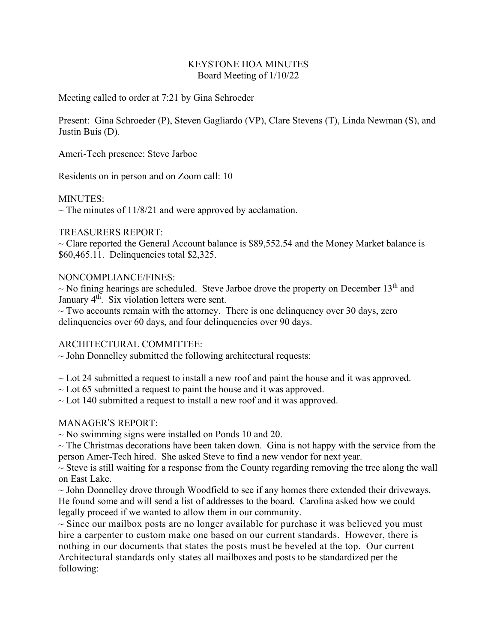#### KEYSTONE HOA MINUTES Board Meeting of 1/10/22

Meeting called to order at 7:21 by Gina Schroeder

Present: Gina Schroeder (P), Steven Gagliardo (VP), Clare Stevens (T), Linda Newman (S), and Justin Buis (D).

Ameri-Tech presence: Steve Jarboe

Residents on in person and on Zoom call: 10

#### MINUTES:

 $\sim$  The minutes of 11/8/21 and were approved by acclamation.

### TREASURERS REPORT:

 $\sim$  Clare reported the General Account balance is \$89,552.54 and the Money Market balance is \$60,465.11. Delinquencies total \$2,325.

### NONCOMPLIANCE/FINES:

 $\sim$  No fining hearings are scheduled. Steve Jarboe drove the property on December 13<sup>th</sup> and January 4<sup>th</sup>. Six violation letters were sent.

 $\sim$  Two accounts remain with the attorney. There is one delinguency over 30 days, zero delinquencies over 60 days, and four delinquencies over 90 days.

# ARCHITECTURAL COMMITTEE:

 $\sim$  John Donnelley submitted the following architectural requests:

 $\sim$  Lot 24 submitted a request to install a new roof and paint the house and it was approved.

 $\sim$  Lot 65 submitted a request to paint the house and it was approved.

 $\sim$  Lot 140 submitted a request to install a new roof and it was approved.

# MANAGER'S REPORT:

 $\sim$  No swimming signs were installed on Ponds 10 and 20.

 $\sim$  The Christmas decorations have been taken down. Gina is not happy with the service from the person Amer-Tech hired. She asked Steve to find a new vendor for next year.

 $\sim$  Steve is still waiting for a response from the County regarding removing the tree along the wall on East Lake.

 $\sim$  John Donnelley drove through Woodfield to see if any homes there extended their driveways. He found some and will send a list of addresses to the board. Carolina asked how we could legally proceed if we wanted to allow them in our community.

 $\sim$  Since our mailbox posts are no longer available for purchase it was believed you must hire a carpenter to custom make one based on our current standards. However, there is nothing in our documents that states the posts must be beveled at the top. Our current Architectural standards only states all mailboxes and posts to be standardized per the following: